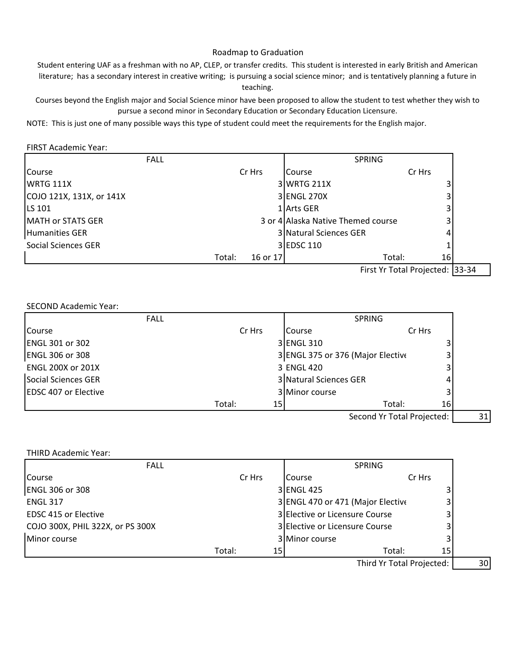# Roadmap to Graduation

Student entering UAF as a freshman with no AP, CLEP, or transfer credits. This student is interested in early British and American literature; has a secondary interest in creative writing; is pursuing a social science minor; and is tentatively planning a future in teaching.

Courses beyond the English major and Social Science minor have been proposed to allow the student to test whether they wish to pursue a second minor in Secondary Education or Secondary Education Licensure.

NOTE: This is just one of many possible ways this type of student could meet the requirements for the English major.

### FIRST Academic Year:

| <b>FALL</b>              |                    | <b>SPRING</b>                       |                      |  |
|--------------------------|--------------------|-------------------------------------|----------------------|--|
| Course                   | Cr Hrs             | Course                              | Cr Hrs               |  |
| <b>WRTG 111X</b>         |                    | 3 WRTG 211X                         |                      |  |
| COJO 121X, 131X, or 141X |                    | 3 ENGL 270X                         |                      |  |
| <b>LS 101</b>            |                    | 1 Arts GER                          |                      |  |
| <b>MATH or STATS GER</b> |                    | 3 or 4 Allaska Native Themed course |                      |  |
| Humanities GER           |                    | 3 Natural Sciences GER              |                      |  |
| Social Sciences GER      |                    | 3 EDSC 110                          |                      |  |
|                          | Total:<br>16 or 17 |                                     | Total:<br>16 I       |  |
|                          |                    |                                     | First V. Total D. 24 |  |

First Yr Total Projected: 33-34

## SECOND Academic Year:

| <b>FALL</b>                  |              |                                   | <b>SPRING</b> |        |  |
|------------------------------|--------------|-----------------------------------|---------------|--------|--|
| Course                       | Cr Hrs       | Course                            |               | Cr Hrs |  |
| <b>ENGL 301 or 302</b>       |              | 3 ENGL 310                        |               | 3      |  |
| <b>ENGL 306 or 308</b>       |              | 3 ENGL 375 or 376 (Major Elective |               | 3      |  |
| <b>ENGL 200X or 201X</b>     |              | 3 ENGL 420                        |               | 3      |  |
| Social Sciences GER          |              | 3 Natural Sciences GER            |               |        |  |
| <b>IEDSC 407 or Elective</b> |              | 3 Minor course                    |               |        |  |
|                              | Total:<br>15 |                                   | Total:        | 16     |  |
|                              |              |                                   |               |        |  |

Second Yr Total Projected: | 31

| <b>FALL</b>                      |                           | <b>SPRING</b>   |                                   |        |        |  |
|----------------------------------|---------------------------|-----------------|-----------------------------------|--------|--------|--|
| Course                           | Cr Hrs                    |                 | Course                            |        | Cr Hrs |  |
| <b>ENGL 306 or 308</b>           |                           |                 | 3 ENGL 425                        |        |        |  |
| <b>ENGL 317</b>                  |                           |                 | 3 ENGL 470 or 471 (Major Elective |        | 3      |  |
| <b>EDSC 415 or Elective</b>      |                           |                 | 3 Elective or Licensure Course    |        | 3      |  |
| COJO 300X, PHIL 322X, or PS 300X |                           |                 | 3 Elective or Licensure Course    |        | 3      |  |
| Minor course                     |                           |                 | 3 Minor course                    |        |        |  |
|                                  | Total:                    | 15 <sub>l</sub> |                                   | Total: | 15     |  |
|                                  | Third Yr Total Projected: |                 |                                   |        |        |  |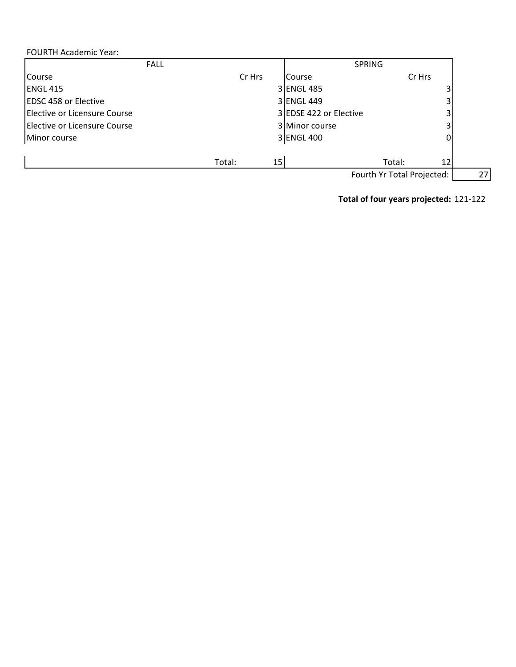# FOURTH Academic Year:

|                              | <b>FALL</b>  | <b>SPRING</b>          |                            |    |
|------------------------------|--------------|------------------------|----------------------------|----|
| Course                       | Cr Hrs       | Course                 | Cr Hrs                     |    |
| <b>ENGL 415</b>              |              | 3 ENGL 485             | 3                          |    |
| <b>EDSC 458 or Elective</b>  |              | 3 ENGL 449             | 3                          |    |
| Elective or Licensure Course |              | 3 EDSE 422 or Elective | 3                          |    |
| Elective or Licensure Course |              | 3 Minor course         | 3                          |    |
| Minor course                 |              | 3 ENGL 400             | 0                          |    |
|                              |              |                        |                            |    |
|                              | Total:<br>15 |                        | Total:<br>12               |    |
|                              |              |                        | Fourth Yr Total Projected: | 27 |

**Total of four years projected:** 121‐122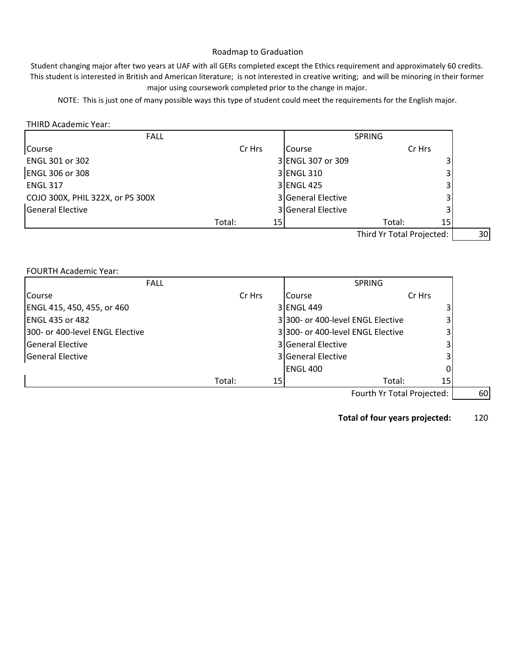# Roadmap to Graduation

Student changing major after two years at UAF with all GERs completed except the Ethics requirement and approximately 60 credits. This student is interested in British and American literature; is not interested in creative writing; and will be minoring in their former major using coursework completed prior to the change in major.

NOTE: This is just one of many possible ways this type of student could meet the requirements for the English major.

#### THIRD Academic Year:

| <b>FALL</b>                      |        |    |                           | <b>SPRING</b> |        |    |
|----------------------------------|--------|----|---------------------------|---------------|--------|----|
| Course                           | Cr Hrs |    | Course                    |               | Cr Hrs |    |
| <b>ENGL 301 or 302</b>           |        |    | 3 ENGL 307 or 309         |               |        |    |
| <b>ENGL 306 or 308</b>           |        |    | 3 ENGL 310                |               |        |    |
| <b>ENGL 317</b>                  |        |    | 3 ENGL 425                |               | 3      |    |
| COJO 300X, PHIL 322X, or PS 300X |        |    | 3 General Elective        |               |        |    |
| <b>General Elective</b>          |        |    | 3 General Elective        |               |        |    |
|                                  | Total: | 15 |                           | Total:        | 15     |    |
|                                  |        |    | Third Yr Total Projected: |               |        | 30 |

FOURTH Academic Year:

| <b>FALL</b>                     |        |    |                                   | <b>SPRING</b> |                            |
|---------------------------------|--------|----|-----------------------------------|---------------|----------------------------|
| <b>Course</b>                   | Cr Hrs |    | <b>Course</b>                     |               | Cr Hrs                     |
| ENGL 415, 450, 455, or 460      |        |    | 3 ENGL 449                        |               |                            |
| <b>ENGL 435 or 482</b>          |        |    | 3 300- or 400-level ENGL Elective |               |                            |
| 300- or 400-level ENGL Elective |        |    | 3 300- or 400-level ENGL Elective |               |                            |
| General Elective                |        |    | <b>3</b> General Elective         |               |                            |
| General Elective                |        |    | 3 General Elective                |               |                            |
|                                 |        |    | <b>IENGL 400</b>                  |               |                            |
|                                 | Total: | 15 |                                   | Total:        | 15 <sub>1</sub>            |
|                                 |        |    |                                   |               | Equrth Vr Total Droinctod: |

Fourth Yr Total Projected: [1896]

**Total of four years projected:** 120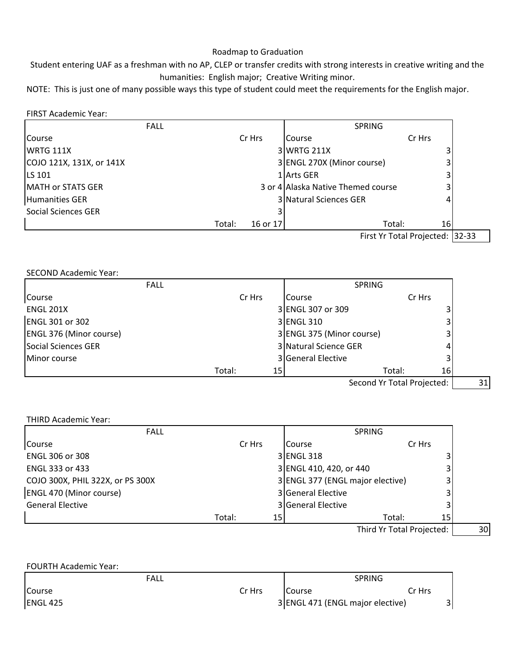# Roadmap to Graduation

Student entering UAF as a freshman with no AP, CLEP or transfer credits with strong interests in creative writing and the humanities: English major; Creative Writing minor.

NOTE: This is just one of many possible ways this type of student could meet the requirements for the English major.

# FIRST Academic Year:

| <b>FALL</b>              |                    | <b>SPRING</b>                       |                                                    |  |
|--------------------------|--------------------|-------------------------------------|----------------------------------------------------|--|
| Course                   | Cr Hrs             | Course                              | Cr Hrs                                             |  |
| <b>IWRTG 111X</b>        |                    | 3 WRTG 211X                         |                                                    |  |
| COJO 121X, 131X, or 141X |                    | 3 ENGL 270X (Minor course)          |                                                    |  |
| <b>LS 101</b>            |                    | 1 Arts GER                          |                                                    |  |
| <b>MATH or STATS GER</b> |                    | 3 or 4 Allaska Native Themed course |                                                    |  |
| Humanities GER           |                    | 3 Natural Sciences GER              |                                                    |  |
| Social Sciences GER      |                    |                                     |                                                    |  |
|                          | Total:<br>16 or 17 |                                     |                                                    |  |
|                          |                    |                                     | 16<br>Total:<br>Float Vo Tatal Bostonte di 199.99. |  |

First Yr Total Projected: 32-33

## SECOND Academic Year:

| <b>FALL</b>                    |                           | <b>SPRING</b>             |                            |    |  |
|--------------------------------|---------------------------|---------------------------|----------------------------|----|--|
| Course                         | Cr Hrs                    | <b>Course</b>             | Cr Hrs                     |    |  |
| <b>ENGL 201X</b>               |                           | 3 ENGL 307 or 309         |                            |    |  |
| <b>ENGL 301 or 302</b>         |                           | 3 ENGL 310                |                            |    |  |
| <b>ENGL 376 (Minor course)</b> |                           | 3 ENGL 375 (Minor course) |                            | 3  |  |
| Social Sciences GER            |                           | 3 Natural Science GER     |                            | 4  |  |
| <b>Minor course</b>            |                           | 3 General Elective        |                            | 3  |  |
|                                | Total:<br>15 <sub>l</sub> |                           | Total:                     | 16 |  |
|                                |                           |                           | Second Yr Total Projected: |    |  |

## THIRD Academic Year:

| Cr Hrs<br>Cr Hrs<br><b>Course</b><br>3 ENGL 318<br>3 ENGL 410, 420, or 440<br>3 ENGL 377 (ENGL major elective)<br>З.<br>3 General Elective | <b>FALL</b>                      |
|--------------------------------------------------------------------------------------------------------------------------------------------|----------------------------------|
|                                                                                                                                            | <b>Course</b>                    |
|                                                                                                                                            | <b>ENGL 306 or 308</b>           |
|                                                                                                                                            | <b>ENGL 333 or 433</b>           |
|                                                                                                                                            | COJO 300X, PHIL 322X, or PS 300X |
|                                                                                                                                            | <b>ENGL 470 (Minor course)</b>   |
| 3 General Elective                                                                                                                         | <b>General Elective</b>          |
| Total:<br>15 <sub>l</sub><br>Total:<br>15 I                                                                                                |                                  |

Third Yr Total Projected: | 30

| <b>FOURTH Academic Year:</b> |        |                                  |               |  |
|------------------------------|--------|----------------------------------|---------------|--|
| <b>FALL</b>                  |        |                                  | <b>SPRING</b> |  |
| Course                       | Cr Hrs | Course                           | Cr Hrs        |  |
| <b>ENGL 425</b>              |        | 3 ENGL 471 (ENGL major elective) |               |  |